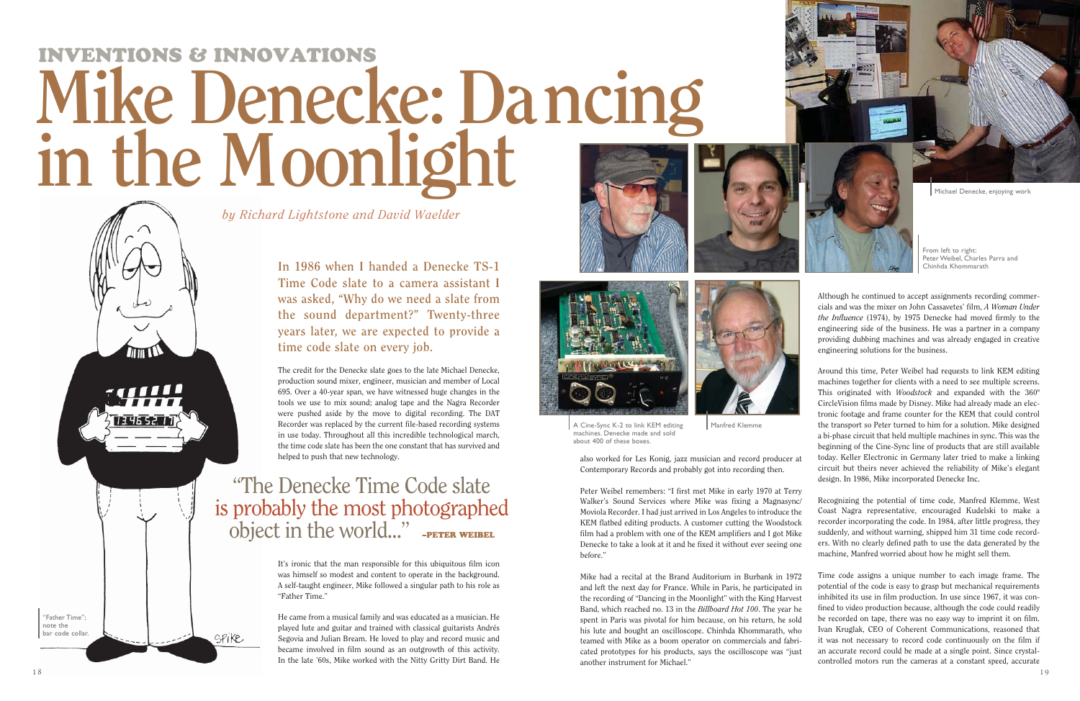Peter Weibel remembers: "I first met Mike in early 1970 at Terry Walker's Sound Services where Mike was fixing a Magnasync/ Moviola Recorder. I had just arrived in Los Angeles to introduce the KEM flatbed editing products. A customer cutting the Woodstock film had a problem with one of the KEM amplifiers and I got Mike Denecke to take a look at it and he fixed it without ever seeing one before."

also worked for Les Konig, jazz musician and record producer at Contemporary Records and probably got into recording then.

Mike had a recital at the Brand Auditorium in Burbank in 1972 and left the next day for France. While in Paris, he participated in the recording of "Dancing in the Moonlight" with the King Harvest Band, which reached no. 13 in the *Billboard Hot 100*. The year he spent in Paris was pivotal for him because, on his return, he sold his lute and bought an oscilloscope. Chinhda Khommarath, who teamed with Mike as a boom operator on commercials and fabricated prototypes for his products, says the oscilloscope was "just another instrument for Michael."

Although he continued to accept assignments recording commercials and was the mixer on John Cassavetes' film, *A Woman Under the Influence* (1974), by 1975 Denecke had moved firmly to the engineering side of the business. He was a partner in a company providing dubbing machines and was already engaged in creative engineering solutions for the business.

Around this time, Peter Weibel had requests to link KEM editing machines together for clients with a need to see multiple screens. This originated with *Woodstock* and expanded with the 360º CircleVision films made by Disney. Mike had already made an electronic footage and frame counter for the KEM that could control the transport so Peter turned to him for a solution. Mike designed a bi-phase circuit that held multiple machines in sync. This was the beginning of the Cine-Sync line of products that are still available today. Keller Electronic in Germany later tried to make a linking circuit but theirs never achieved the reliability of Mike's elegant design. In 1986, Mike incorporated Denecke Inc.

## "The Denecke Time Code slate is probably the most photographed object in the world..." -PETER WEIBEL

## INVENTIONS & INNOVATIONS **Mike Denecke: Da ncing in the M oonlight**



spike

Recognizing the potential of time code, Manfred Klemme, West Coast Nagra representative, encouraged Kudelski to make a recorder incorporating the code. In 1984, after little progress, they suddenly, and without warning, shipped him 31 time code recorders. With no clearly defined path to use the data generated by the machine, Manfred worried about how he might sell them.

From left to right: Peter Weibel, Charles Parra and Chinhda Khommarath

Time code assigns a unique number to each image frame. The potential of the code is easy to grasp but mechanical requirements inhibited its use in film production. In use since 1967, it was confined to video production because, although the code could readily be recorded on tape, there was no easy way to imprint it on film. Ivan Kruglak, CEO of Coherent Communications, reasoned that it was not necessary to record code continuously on the film if an accurate record could be made at a single point. Since crystalcontrolled motors run the cameras at a constant speed, accurate

**In 1986 when I handed a Denecke TS-1 Time Code slate to a camera assistant I was asked, "Why do we need a slate from the sound department?" Twenty-three years later, we are expected to provide a time code slate on every job.**

The credit for the Denecke slate goes to the late Michael Denecke, production sound mixer, engineer, musician and member of Local 695. Over a 40-year span, we have witnessed huge changes in the tools we use to mix sound; analog tape and the Nagra Recorder were pushed aside by the move to digital recording. The DAT Recorder was replaced by the current file-based recording systems in use today. Throughout all this incredible technological march, the time code slate has been the one constant that has survived and helped to push that new technology.

It's ironic that the man responsible for this ubiquitous film icon was himself so modest and content to operate in the background. A self-taught engineer, Mike followed a singular path to his role as "Father Time."

He came from a musical family and was educated as a musician. He played lute and guitar and trained with classical guitarists Andrés Segovia and Julian Bream. He loved to play and record music and became involved in film sound as an outgrowth of this activity. In the late '60s, Mike worked with the Nitty Gritty Dirt Band. He









*by Richard Lightstone and David Waelder*



"Father Time"; note the bar code collar.



A Cine-Sync K-2 to link KEM editing machines. Denecke made and sold about 400 of these boxes.

Manfred Klemme